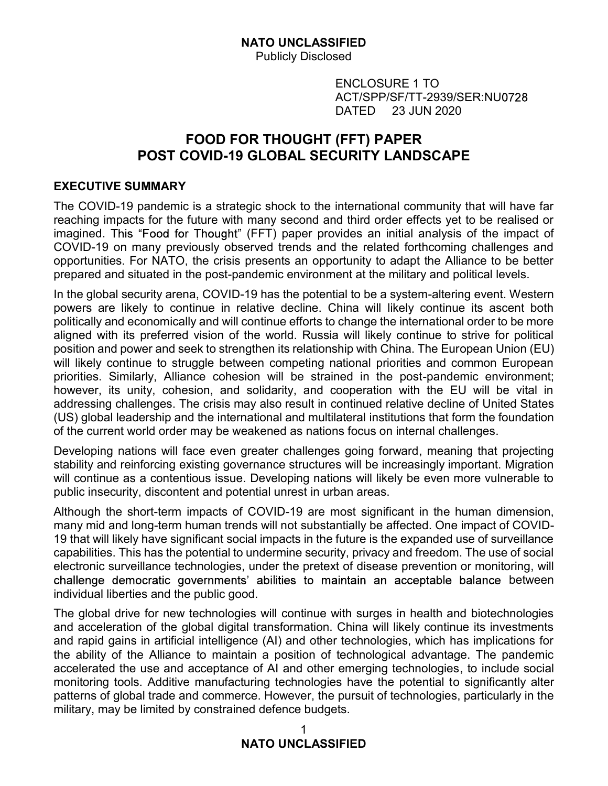Publicly Disclosed

IFIED<br>sed<br>ENCLOSURE 1 TO<br>ACT/SPP/SF/TT-2939/SER:NU0728<br>DATED 23 JUN 2020<br>**(FFT) PAPER** ACT/SPP/SF/TT-2939/SER:NU IFIED<br>sed<br>ENCLOSURE 1 TO<br>ACT/SPP/SF/TT-2939/SER:NU0728<br>DATED 23 JUN 2020<br>**(FFT) PAPER**<br>:**URITY LANDSCAPE** 

# NATO UNCLASSIFIED<br>
Publicly Disclosed<br>
ENCLOSURE 1 TO<br>
ACT/SPP/SF/TT-2939/SER:NU0728<br>
DATED 23 JUN 2020<br>
FOOD FOR THOUGHT (FFT) PAPER<br>
COVID-19 GLOBAL SECURITY LANDSCAPE **NATO UNCLASSIFIED**<br>
Publicly Disclosed<br>
ENCLOSURE 1 TO<br>
ACT/SPP/SF/TT-2939/SER:NU0728<br>
DATED 23 JUN 2020<br> **POST COVID-19 GLOBAL SECURITY LANDSCAPE**<br> **POST COVID-19 GLOBAL SECURITY LANDSCAPE**<br> **DAMMARY**<br>
POST COVID-19 GLOB

### EXECUTIVE SUMMARY

The COVID-19 pandemic is a strategic shock to the international community that will have far reaching impacts for the future with many second and third order effects yet to be realised or imagined. This "Food for Thought" (FFT) paper provides an initial analysis of the impact of COVID-19 on many previously observed trends and the related forthcoming challenges and opportunities. For NATO, the crisis presents an opportunity to adapt the Alliance to be better prepared and situated in the post-pandemic environment at the military and political levels.

In the global security arena, COVID-19 has the potential to be a system-altering event. Western powers are likely to continue in relative decline. China will likely continue its ascent both politically and economically and will continue efforts to change the international order to be more aligned with its preferred vision of the world. Russia will likely continue to strive for political position and power and seek to strengthen its relationship with China. The European Union (EU) will likely continue to struggle between competing national priorities and common European priorities. Similarly, Alliance cohesion will be strained in the post-pandemic environment; **FOOD FOR THOUGHT (FFT) PAPER**<br> **EXECUTIVE SUMMARY**<br>
The COVID-19 GRIGIRENT COVID-TO GUID and SCOVID-19 GLOBAL SECURITY LANDSCAPE<br>
The COVID-19 pandminic is a strategic shock to the international community that will have f **POST COVID-19 GLOBAL SECURITY LANDSCAPE**<br> **EXECUTIVE SUMMARY**<br>
The COVID-19 pandemic is a strategic shock to the international community that will have far<br>
reaching impacts for the future with many second and third order EXECUTIVE SUMMARY<br>The COVID-19 pandemic is a strategic shock to the international community that will have far<br>reaching impacts for the future with many second and third order effects yet to be realised or<br>covidD-19 on man **EXECUTIVE SUMMARY**<br>The COVID-19 pandemic is a strategic shock to the international community that will have far<br>reaching impacts for the future with many second and third order effects yet to be realised or<br>timagined. Thi The COVID-19 pandemic is a strategic shock to the international community that will have farmorigin impacts for the future with many second and third order effects yet to be realised or imagined. This "Food for Thought" (F reacting impacts or the ulture with rastly second and through the highed of COVID-19 on many previous and that content energy set to be restansed of COVID-19 on many previously observed terrods and the related forthcoming prepared and situated in the post-pandemic environment at the military and political levels.<br>In the global security arena, COVID-19 has the potential to be a system-altering event. Westerm<br>Inversis are likely to continue i m te global security attention to the above a system-attenties of the system of the system and powers are likely to continue in relative decline. China will likely continue its ascent both politically and economically and powers are menty to continue in treative detime. Chinal will intellepted with its preference of this preference of the word, Russia will likely continue to strive for politically and power and seek to strengthen its relati

stability and reinforcing existing governance structures will be increasingly important. Migration public insecurity, discontent and potential unrest in urban areas.

Although the short-term impacts of COVID-19 are most significant in the human dimension, 19 that will likely have significant social impacts in the future is the expanded use of surveillance challenge democratic governments' abilities to maintain an acceptable balance between individual liberties and the public good. will likely continue to struggle between competing national priorities and common European<br>priorities. Similarly, Alliance cohesion will be strained in the post-pandemic environment;<br>however, its unity, Alliance cohesion w

and acceleration of the global digital transformation. China will likely continue its investments and rapid gains in artificial intelligence (AI) and other technologies, which has implications for the ability of the Alliance to maintain a position of technological advantage. The pandemic (US) global leadership and the international and multilateral institutions that form the foundation<br>of the uurent world order may be weakened as nations focus on infernal challenges.<br>Obeveloping nations will face even grea monitoring tools. Additive manufacturing technologies have the potential to significantly alter patterns of global trade and commerce. However, the pursuit of technologies, particularly in the military, may be limited by constrained defence budgets.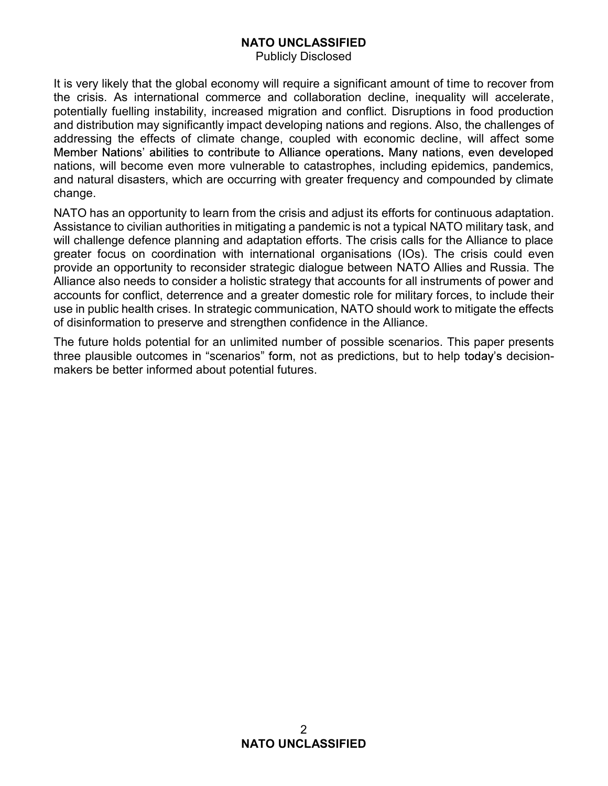Publicly Disclosed

It is very likely that the global economy will require a significant amount of time to recover from the crisis. As international commerce and collaboration decline, inequality will accelerate, potentially fuelling instability, increased migration and conflict. Disruptions in food production and distribution may significantly impact developing nations and regions. Also, the challenges of **Address Addressing to the effects of climate changes** of climate change.<br>
Addressing the effects of climate change can be climate change of the crisis. As international commerce and collaboration decline, inequality will nations, will become even more vulnerable to catastrophes, including epidemics, pandemics, and natural disasters, which are occurring with greater frequency and compounded by climate change. **NATO UNCLASSIFIED**<br>
Publicly Disclosed<br>
The very likely that the global economy will require a significant amount of time to recover from<br>
the crisis. As international commerce and collaboration decline, inequality will a **NATO UNCLASSIFIED**<br> **Provider and Compondical Compondication** and conflict. Disruptions in food production<br>
the crisis. As international commerce and collaboration decline, inequality will accelerate,<br>
potentially fuellin **ACCO CONSCRIFIED**<br> **ACCO** Publicly Disclosed<br> **ACCO** Publicly Disclosed<br>
The crisis. As international commerce and collaboration decline, inequality will accelerate,<br>
potentially fuelling instability, increased migration

NATO has an opportunity to learn from the crisis and adjust its efforts for continuous adaptation. will challenge defence planning and adaptation efforts. The crisis calls for the Alliance to place greater focus on coordination with international organisations (IOs). The crisis could even Alliance also needs to consider a holistic strategy that accounts for all instruments of power and use in public health crises. In strategic communication, NATO should work to mitigate the effects of disinformation to preserve and strengthen confidence in the Alliance. three crists. As international committere and columptor three and controls, increased migration and conflict. Disruptions in food production and distribution may significantly impact developing nations and regions. Also, t potentially fueling instability, increased migration and contrict. Disruptions in the addressing the effects of climate change, coupled with economic decline, venter addressing the effects of climate change, coupled with e

The future holds potential for an unlimited number of possible scenarios. This paper presents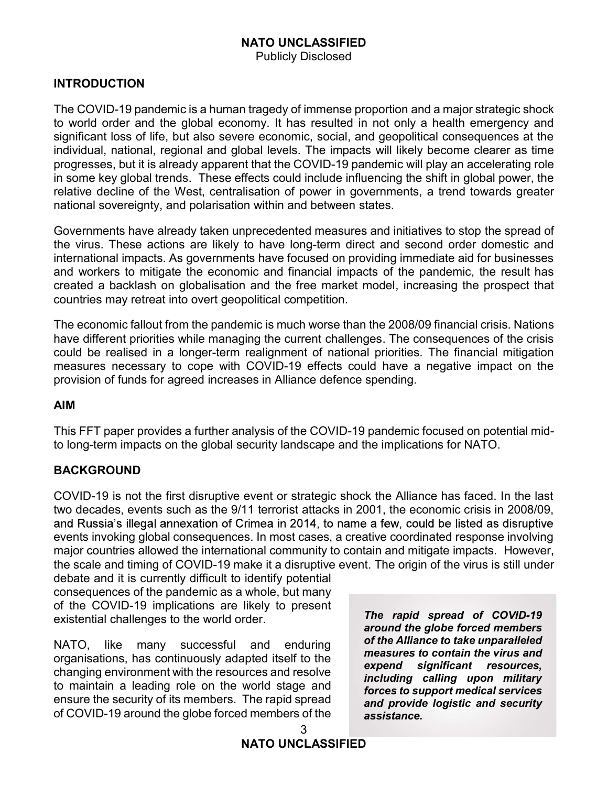### Publicly Disclosed

### INTRODUCTION

The COVID-19 pandemic is a human tragedy of immense proportion and a major strategic shock **NATO UNCLASSIFIED**<br>
Publicly Disclosed<br>
The COVID-19 pandemic is a human tragedy of immense proportion and a major strategic shock<br>
to world order and the global economy. It has resulted in not only a health emergency and **NATO UNCLASSIFIED**<br>Publicly Disclosed<br>The COVID-19 pandemic is a human tragedy of immense proportion and a major strategic shock<br>to world order and the global economy. It has resulted in not only a health emergency and<br>si **INTRODUCTION**<br> **INTRODUCTION**<br>
The COVID-19 pandemic is a human tragedy of immense proportion and a major strategic shock<br>
to world order and the global economy. It has resulted in not only a health emergency and<br>
signifi **NATO UNCLASSIFIED**<br>
Publicly Disclosed<br>
The COVID-19 pandemic is a human tragedy of immense proportion and a major strategic shock<br>
to world order and the global economy. It has resulted in not only a health emergency and **INTRODUCTION**<br> **INTRODUCTION**<br>
The COVID-19 pandemic is a human tragedy of immense proportion and a major strategic shock<br>
to world order and the global economy. It has resulted in not only a health emergency and<br>
signifi relative decline of the West, centralisation of power in governments, a trend towards greater national sovereignty, and polarisation within and between states. **INTRODUCTION**<br> **Example 19** Publicly Disclosed<br>
The COVID-19 pandemic is a human tragedy of immense proportion and a major strategic shock<br>
to world order and the global economy. It has resulted in not only a health emerg **INTRODUCTION**<br>
Publicly Disclosed<br>
The COVID-19 pandemic is a human tragedy of immense proportion and a major strategic shock<br>
to world order and the global economy. It has resulted in not only a health emergency and<br>
sig **NATO UNCLASSIFIED**<br>
Publicly Disclosed<br>
The COVID-19 pandemic is a human tragedy of immense proportion and a major strategic shock<br>
to world order and the global economy. It has resulted in not only a health emergency and The COVID-19 pandemic is a human tragedy of immense proportion and a major strategic shock<br>to world order and the global economy. It has resulted in not only a health emergency and<br>bignificant loss of life, but also severe

Governments have already taken unprecedented measures and initiatives to stop the spread of the virus. These actions are likely to have long-term direct and second order domestic and countries may retreat into overt geopolitical competition. in some key global trends. These effects could include influencing the shift in global power, the<br>in sime key global trends. These effects could include influencing over mations, a trend towards greater<br>national sovereignt relative decline of the West, centralisation of power in governments, a trend towards greater<br>
rational sovereignty, and polarisation within and between states.<br>
Gevernments have a tracking these uniquedent measures and in

The economic fallout from the pandemic is much worse than the 2008/09 financial crisis. Nations have different priorities while managing the current challenges. The consequences of the crisis measures necessary to cope with COVID-19 effects could have a negative impact on the provision of funds for agreed increases in Alliance defence spending.

### AIM

### **BACKGROUND**

COVID-19 is not the first disruptive event or strategic shock the Alliance has faced. In the last two decades, events such as the 9/11 terrorist attacks in 2001, the economic crisis in 2008/09, events invoking global consequences. In most cases, a creative coordinated response involving major countries allowed the international community to contain and mitigate impacts. However, The economic fallout from the pandemic is much worse than the 2008/09 financial crisis. Nations<br>have different priorities while managing the current challenges. The consequences of the crisis<br>could be realised in a longer-The economic fallout from the pandemic is much worse than the 2008/09 find<br>nave different priorities while managing the current challenges. The consection<br>occuld be realised in a longer-term realignment of national priori have different priorities while managing the current challenges. The consequences of the crisis<br>could be realised in a longer-term realignment of national priorities. The financial mitigation<br>measures necessary to cope wit This FFT paper provides a further analysis of the COVID-19 pandemic focused on potential mid-<br>to long-term impacts on the global security landscape and the implications for NATO.<br>
BACKGROUND<br>
COVID-19 is not the first disr to long-term impacts on the global security landscape and the implications for NATO.<br>
BACKGROUND<br>
COVID-19 is not the first disruptive event or strategic shock the Alliance has faced. In the last<br>
covid decades, events su is provided in the matter and the virtual chave a negative impact on the<br>spending.<br>pandemic focused on potential mid-<br>the implications for NATO.<br><br>k the Alliance has faced. In the last<br>001, the economic crisis in 2008/09,<br>e

of the COVID-19 implications are likely to present<br>existential challenges to the world order **The rapid spread of COVID-19** existential challenges to the world order.

NATO, like many successful and enduring **or the Alliance to take unparalleled**<br>examinational bas continuously adopted itself to the measures to contain the virus and organisations, has continuously adapted itself to the changing environment with the resources and resolve of COVID-19 around the globe forced members of the

around the globe forced members of the Alliance to take unparalleled pandemic focused on potential mid-<br>the implications for NATO.<br>Sk the Alliance has faced. In the last<br>001, the economic crisis in 2008/09,<br>a few, could be listed as disruptive<br>taive coordinated response involving<br>tain and m expend significant resources, including calling upon military forces to support medical services and provide logistic and security assistance.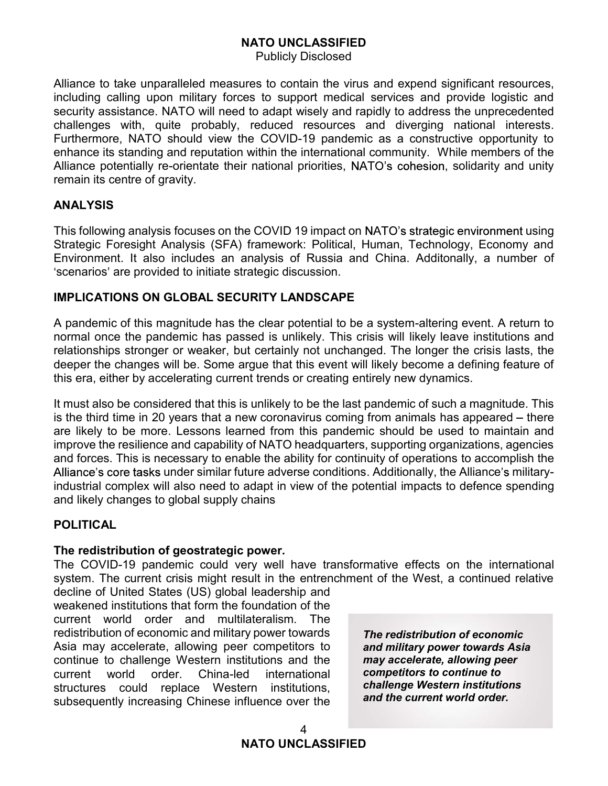Publicly Disclosed

**NATO UNCLASSIFIED**<br>Publicly Disclosed<br>Alliance to take unparalleled measures to contain the virus and expend significant resources,<br>including calling upon military forces to support medical services and provide logistic a **NATO UNCLASSIFIED**<br>Publicly Disclosed<br>Alliance to take unparalleled measures to contain the virus and expend significant resources,<br>including calling upon military forces to support medical services and provide logistic a **NATO UNCLASSIFIED**<br>Publicly Disclosed<br>Alliance to take unparalleled measures to contain the virus and expend significant resources,<br>including calling upon military forces to support medical services and provide logistic a **NATO UNCLASSIFIED**<br>
Publicly Disclosed<br>
Alliance to take unparalleled measures to contain the virus and expend significant resources,<br>
including calling upon military forces to support medical services and provide logisti Furthermore, NATO should view the COVID-19 pandemic as a constructive opportunity to enhance its standing and reputation within the international community. While members of the<br>Alliance potentially re-orientate their national priorities, NATO's cohesion, solidarity and unity **MATO UNCLASSIFIED**<br>
Publicly Disclosed<br>
Publicly Disclosed<br>
Including calling upon military forces to support medical services and provide logistic and<br>
security assistance. NATO will need to adapt wisely and rapidly to a remain its centre of gravity. **NATO UNCLASSIFIED**<br>
Publicly Disclosed<br>
Alliance to take unparalleled measures to contain the virus and expend significant resources,<br>
including calling upon military forces to support medical services and provide logisti **ENTIFUM MATO UNCLASSIFIED**<br>
Publicly Disclosed<br>
Including calling upon military forces to support medical services and provide logistic and<br>
inculating sestistince. NATO will need to adapt wisely and rapidly to address th **NATO UNCLASSIFIED**<br>
Publicly Disclosed<br>
Niliance to take unparalleled measures to contain the virus and expend significant re<br>
nculting calling upon military forces to support medical services and provide log<br>
isecurity a Alliance to take unparalleled measures to contain the virus and expend significant resources.<br>
Including calling upon military forces to support medical services and provide logistic and<br>
security assistance. NATO will nee security assistance. MATO will med to adapt wisely and rapidly to address the unprecedented<br>challenges with, quite probably, reduced resources and diverging national interests.<br>Furthermore, NATO should view the COVID-19 pa

### ANALYSIS

Strategic Foresight Analysis (SFA) framework: Political, Human, Technology, Economy and

### IMPLICATIONS ON GLOBAL SECURITY LANDSCAPE

A pandemic of this magnitude has the clear potential to be a system-altering event. A return to relationships stronger or weaker, but certainly not unchanged. The longer the crisis lasts, the challenges with, quite probably, reduced resources and diverging national interests.<br>Furthermore, NATO should view the COVID-19 pandemic as a constructive opportunity to<br>enhance its standing and reputation within the inter

enhance its standing and reputation within the international community. While members of the Allinance potentially re-orientate their national priorities, NATO's cohesion, solidarity and unity Alinance potentially re-orien Alliance potentially re-orientate their national priorities, NATO's cohesion, solidarity and unity<br>remain its centre of gravity.<br> **ANALYSIS**<br>
This following analysis focuses on the COVID 19 impact on NATO's strategic envir remain its centre of gravity.<br> **ANALYSIS**<br>
This following analysis focuses on the COVID 19 impact on NATO's strategic environment using<br>
Strategic Foresight Analysis (SFA) framework: Political, Human, Technology, Economy a **ANALYSIS**<br>This following analysis focuses on the COVID 19 impact on NATO's strategic environment using<br>Strategic Foresight Analysis (SFA) framework: Political, Human, Technology, Economy and<br>Environment. It also includes **ANALYSIS**<br>This following analysis focuses on the COVID 19 impact on NATO's strategic environment using<br>Strategic Forcesight Analysis (SFA) framework: Political, Human, Technology, Economy and<br>Environment. It also includes is focuses on the COVID 19 impact on NATO's strategic environment using<br>Analysis (SFA) framework: Political, Human, Technology, Economy and<br>includes an analysis of Russia and China. Additonally, a number of<br>fed to initiate This following analysis focuses on the COVID 19 limpact on NATO's strategic environment using<br>Strategic Foresight Analysis (SFA) framework: Political, Human, Technology, Economy and<br>Environment. It also includes an analysi Strategic Foresight Analysis (SFA) framework: Political, Human, Technology, Economy<br>Environment. It also includes an analysis of Russia and China. Additonally, a numbe<br>The senarios' are provided to initiate strategic discu A pandemic of this magnitude has the clear potential to be a system-altering event. A return to normal once the pandemic has passed is unlikely. This crisis will likely leave institutions and releatembings stronger or weak normal once the pandemic has passed is unlikely. This crisis will likely leave institution-<br>teleatonships stronger or weaker, but certainly not unchanged. The longer the crisis leader<br>per the changes will be. Some argue th relationships stronger or weaker, but certainly not unchanged. The long<br>deeper the changes will be. Some argue that this evant will likely become<br>this era, either by accelerating current trends or creating entirely new dyn It must also be considered that this is unlikely to be the last pandemic of such a magnitude. This<br>is the third time in 20 years that a new cononarius coming from animals has appeared – there<br>are likely to be more. Lessons from animals has appeared – there<br>ic should be used to maintain and<br>s, supporting organizations, agencies<br>uity of operations to accomplish the<br>s. Additionally, the Alliance's military-<br>tential impacts to defence spending<br>m

### POLITICAL

### The redistribution of geostrategic power.

system. The current crisis might result in the entrenchment of the West, a continued relative

current world order and multilateralism. The redistribution of economic and military power towards continue to challenge Western institutions and the **may accelerate, allowing portable to continue to**<br>current world order China-led international **competitors to continue to** current world order. China-led international structures could replace Western institutions, subsequently increasing Chinese influence over the

The redistribution of economic and military power towards Asia may accelerate, allowing peer challenge Western institutions and the current world order.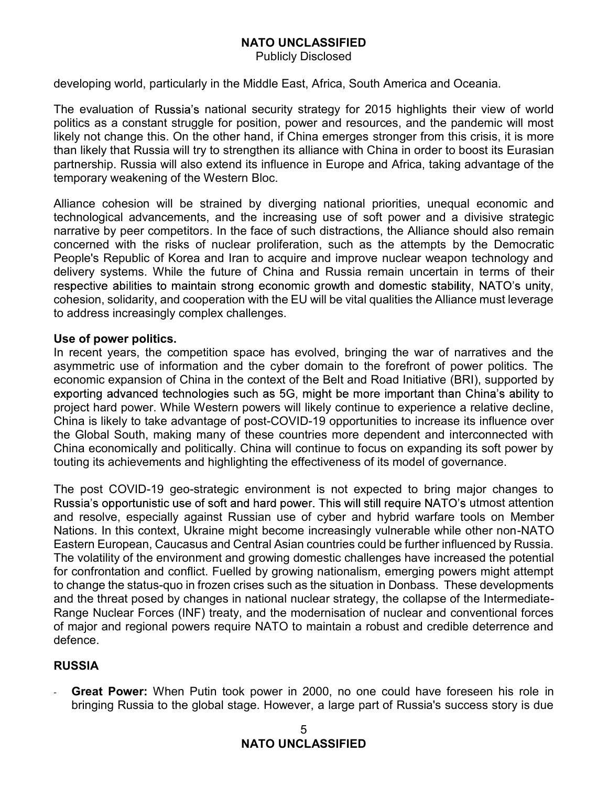Publicly Disclosed

**NATO UNCLASSIFIED**<br>
Publicly Disclosed<br>
developing world, particularly in the Middle East, Africa, South America and Oceania.<br>
The evaluation of Russia's national security strategy for 2015 highlights their view of world<br> The evaluation of Russia's national security strategy for 2015 highlights their view of world politics as a constant struggle for position, power and resources, and the pandemic will most **NATO UNCLASSIFIED**<br>
Publicly Disclosed<br>
developing world, particularly in the Middle East, Africa, South America and Oceania.<br>
The evaluation of Russia's national security strategy for 2015 highlights their view of world<br> **NATO UNCLASSIFIED**<br>
Publicly Disclosed<br>
developing world, particularly in the Middle East, Africa, South America and Oceania.<br>
The evaluation of Russia's national security strategy for 2015 highlights their view of world<br> **MATO UNCLASSIFIED**<br>
Publicly Disclosed<br>
Publicly Disclosed<br>
The evaluation of Russia's national security strategy for 2015 highlights their view of world<br>
politics as a constant struggle for position, power and resources, temporary weakening of the Western Bloc.

Alliance cohesion will be strained by diverging national priorities, unequal economic and **NATO UNCLASSIFIED**<br>
Publicly Disclosed<br>
The evaluation of Russia's national security strategy for 2015 highlights their view of world<br>
The evaluation of Russia's national security strategy for 2015 highlights their view o **NATO UNCLASSIFIED**<br>
Publicly Disclosed<br>
Publicly Disclosed<br>
The evaluation of Russia's national security strategy for 2015 highlights their view of world<br>
The evaluation of Russia will arom is exactly strategy for 2015 hi **Example 10 NATO UNCLASSIFIED**<br> **Publicly Disclosed**<br> **Concerned With America and Oceania.**<br>
The evaluation of Russia's national security strategy for 2015 highlights their view of world<br>
politics as a constant struggle People's Republic of Korea and Iran to acquire and improve nuclear weapon technology and delivery systems. While the future of China and Russia remain uncertain in terms of their cohesion, solidarity, and cooperation with the EU will be vital qualities the Alliance must leverage to address increasingly complex challenges. developing world, particularly in the Middle East, Africa, South Ame<br>The evaluation of Russia's national security strategy for 2015 h<br>politics as a constant struggle for position, power and resources,<br>likely not change thi The evaluation of Russia's national security strategy for 2015 highlights their view of world<br>politics as a constant struggle for position, power and resources, and the pandemic will most<br>likely not change this on the othe politics as a constant struggle for postiton, power and resources, and the parademic will most<br>plikely not change this. On the other hand, if China emerges stronger from this crisis, it is more<br>than likely that Russia will

asymmetric use of information and the cyber domain to the forefront of power politics. The project hard power. While Western powers will likely continue to experience a relative decline, China is likely to take advantage of post-COVID-19 opportunities to increase its influence over the Global South, making many of these countries more dependent and interconnected with China economically and politically. China will continue to focus on expanding its soft power by Awance conestom will be strained by a constrained by a methal entropolate and provide and entropolate and the increasing use of soft power and a divisive strategic narrative by peer competitors. In the face of such distrac

The post COVID-19 geo-strategic environment is not expected to bring major changes to Russia's opportunistic use of soft and hard power. This will still require NATO's utmost attention and resolve, especially against Russian use of cyber and hybrid warfare tools on Member Nations. In this context, Ukraine might become increasingly vulnerable while other non-NATO Eastern European, Caucasus and Central Asian countries could be further influenced by Russia. The volatility of the environment and growing domestic challenges have increased the potential for confrontation and conflict. Fuelled by growing nationalism, emerging powers might attempt to change the status-quo in frozen crises such as the situation in Donbass. These developments and the threat posed by changes in national nuclear strategy, the collapse of the Intermediate-Range Nuclear Forces (INF) treaty, and the modernisation of nuclear and conventional forces of major and regional powers require NATO to maintain a robust and credible deterrence and defence.

### RUSSIA

Great Power: When Putin took power in 2000, no one could have foreseen his role in bringing Russia to the global stage. However, a large part of Russia's success story is due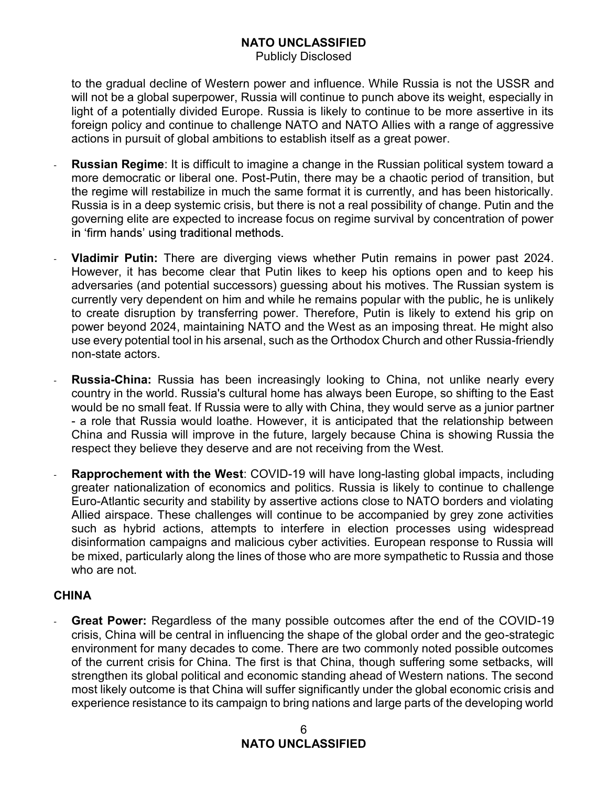Publicly Disclosed

**NATO UNCLASSIFIED**<br>Publicly Disclosed<br>to the gradual decline of Western power and influence. While Russia is not the USSR and<br>will not be a global superpower, Russia will continue to punch above its weight, especially in<br> will not be a global superpower, Russia will continue to punch above its weight, especially in light of a potentially divided Europe. Russia is likely to continue to be more assertive in its foreign policy and continue to challenge NATO and NATO Allies with a range of aggressive actions in pursuit of global ambitions to establish itself as a great power.

- MATO UNCLASSIFIED<br>
Publicly Disclosed<br>
to the gradual decline of Western power and influence. While Russia is not the USSR and<br>
will not be a global superpower, Russia is likely to continue to be more assertive in its<br>
for **MATO UNCLASSIFIED**<br>Publicly Disclosed<br>publicly Disclosed<br>to the gradual decline of Western power and influence. While Russia is not the USSR and<br>will not be a global superpower, Russia will continue to punch above its wei the regime will restabilize in much the same format it is currently, and has been historically. Russia is in a deep systemic crisis, but there is not a real possibility of change. Putin and the governing elite are expected to increase focus on regime survival by concentration of power **NATO UNCLASSIFIED**<br>
Publicly Disclosed<br>
vill mot be a global superpower, Russia is likely to continue to the more assertive in its<br>
light of a potentially divided Europe. Russia is likely to continue to be more assertive
- However, it has become clear that Putin likes to keep his options open and to keep his **MATO UNCLASSIFIED**<br>
Publicly Disclosed<br>
Will not be a global superpower, Russia will continue to punch above its weight, especially in<br>
Ilight of a potentially divided Europe. Russia will continue to punch above its weigh currently very dependent on him and while he remains popular with the public, he is unlikely to create disruption by transferring power. Therefore, Putin is likely to extend his grip on power beyond 2024, maintaining NATO and the West as an imposing threat. He might also to the gradual decline of Western power and influence. While Kussia is not the USSK and the USSK and the USSK and the USSK and the Unit of a potentially divided Europe. Russia is likely to continue to be more assertive in non-state actors. forein policy and continue to challenge NATO and NATO Allies with a range of aggressive<br>actions in pursuit of global ambittons to establish itself as a great power.<br> **Russian Regime**: It is difficult to imagine a change in **Russian Regime:** It is difficult to imagine a change in the Russian political system toward a<br>more democratic or liberal one. Post-Putin, there may be a chaotic period of transition, but<br>the regime will restabilize in muc **Russia in Regime:** It is difficult to imagine a change in the Russian political system toward a strated to magine and a relation conterest in the regime will restabilize in much the same format it is currently, and has be governing elite are expected to increase focus on regime survival by concentration of power<br>
1 "firm hands' using traditional methods.<br> **Vladimir Putin:** There are diverging views whether Putin remains in power past 2024.<br>
- country in the world. Russia's cultural home has always been Europe, so shifting to the East China and Russia will improve in the future, largely because China is showing Russia the respect they believe they deserve and are not receiving from the West.
- greater nationalization of economics and politics. Russia is likely to continue to challenge Euro-Atlantic security and stability by assertive actions close to NATO borders and violating Allied airspace. These challenges will continue to be accompanied by grey zone activities such as hybrid actions, attempts to interfere in election processes using widespread disinformation campaigns and malicious cyber activities. European response to Russia will currently very dependent on him and while he remains popular with the public, he is unlikely<br>to create disruption by transferring power. Therefore, Putin is likely to extend his grip on<br>power beyond 2024, maintaining NATO who are not. - **Russia-China:** Russia has been increasingly looking to China, not unlike nearly every country in the world. Russia's cultural home has always been Europe, so shifting to the East would be no small feat. If Russia were t

### **CHINA**

crisis, China will be central in influencing the shape of the global order and the geo-strategic environment for many decades to come. There are two commonly noted possible outcomes of the current crisis for China. The first is that China, though suffering some setbacks, will strengthen its global political and economic standing ahead of Western nations. The second most likely outcome is that China will suffer significantly under the global economic crisis and experience resistance to its campaign to bring nations and large parts of the developing world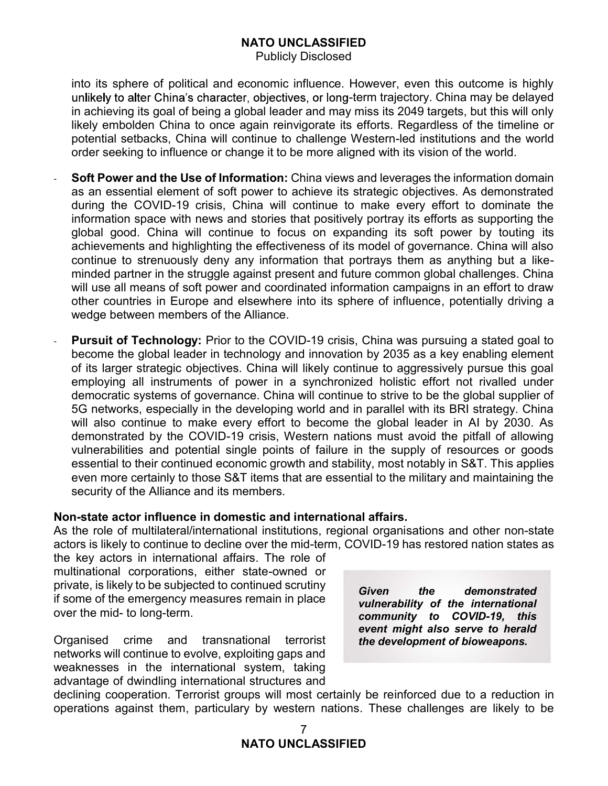Publicly Disclosed

into its sphere of political and economic influence. However, even this outcome is highly unlikely to alter China's character, objectives, or long-term trajectory. China may be delayed in achieving its goal of being a global leader and may miss its 2049 targets, but this will only likely embolden China to once again reinvigorate its efforts. Regardless of the timeline or potential setbacks, China will continue to challenge Western-led institutions and the world order seeking to influence or change it to be more aligned with its vision of the world.

- Soft Power and the Use of Information: China views and leverages the information domain as an essential element of soft power to achieve its strategic objectives. As demonstrated during the COVID-19 crisis, China will continue to make every effort to dominate the **NATO UNCLASSIFIED**<br>
Publicly Disclosed<br>
into its sphere of political and economic influence. However, even this outcome is highly<br>
unlikely to alter China's character, objectives, or long-term trajectory. China may be del global good. China will continue to focus on expanding its soft power by touting its achievements and highlighting the effectiveness of its model of governance. China will also continue to strenuously deny any information that portrays them as anything but a likeminded partner in the struggle against present and future common global challenges. China will use all means of soft power and coordinated information campaigns in an effort to draw **NATO MCCLESTED**<br> **THEO CONCELATESTED**<br> **THEO CONCELATESTED**<br> **THEO** UNITE CHING'S Disclosed<br>
In achieving its goal of being a global leader and may may be complement trajectory. China may be delayed<br>
in achieving its goal wedge between members of the Alliance. unikely to alter China's character, objectives, or forg-learm trajectory. China may be delayed the stowing the stowing the stowing the stowing likely embolden China to once again reinvigorate its efforts. Regardless of the
- Pursuit of Technology: Prior to the COVID-19 crisis, China was pursuing a stated goal to of its larger strategic objectives. China will likely continue to aggressively pursue this goal employing all instruments of power in a synchronized holistic effort not rivalled under democratic systems of governance. China will continue to strive to be the global supplier of 5G networks, especially in the developing world and in parallel with its BRI strategy. China will also continue to make every effort to become the global leader in AI by 2030. As demonstrated by the COVID-19 crisis, Western nations must avoid the pitfall of allowing vulnerabilities and potential single points of failure in the supply of resources or goods essential to their continued economic growth and stability, most notably in S&T. This applies even more certainly to those S&T items that are essential to the military and maintaining the security of the Alliance and its members. minded partier in the struggle against present and tuture common global challenges. China<br>will use all means of soft power and coordinated information campaigns in an effort to draw<br>other countries in Europe and elsewhere will use all means of sott power and coordinated information campages in an erior to draw<br>
wedge between members of the Alliance.<br> **Pursuit of Technology:** Prior to the COVID-19 crisis, China was pursuing a stated goal to<br> other countries in Europe and elsewhere into its sphere of influence, potentially driving a<br>wedge between members of the Alliance.<br>
Pursuit of Technology: Prior to the COVID-19 crisis, China was pursuing a stated goal to<br> **Presume of Technology:** Prior to the COVID-19 crises, China was a considerate the global leader in technology and innovation by 2035 of its larger strategic objectives. China will likely continue to aggemploying all inst become the goodal elader in economic and innovation by 2003 as a keep of the mid-<br>of its larger strategic objectives. China will likely continue to aggressive<br>employing all instruments of power in a synchronized holistic e dentificant in the cooperation. Terrorist and the cooperation in state and the internal of the cooperation of the cooperation of the cooperation of the cooperation of the Alliance and its members.<br>
seven more certainly to

### Non-state actor influence in domestic and international affairs.

multinational corporations, either state-owned or private, is likely to be subjected to continued scrutiny **Given** 

Organised crime and transnational terrorist networks will continue to evolve, exploiting gaps and weaknesses in the international system, taking advantage of dwindling international structures and

the demonstrated vulnerability of the international community to COVID-19, this event might also serve to herald the development of bioweapons.

operations against them, particulary by western nations. These challenges are likely to be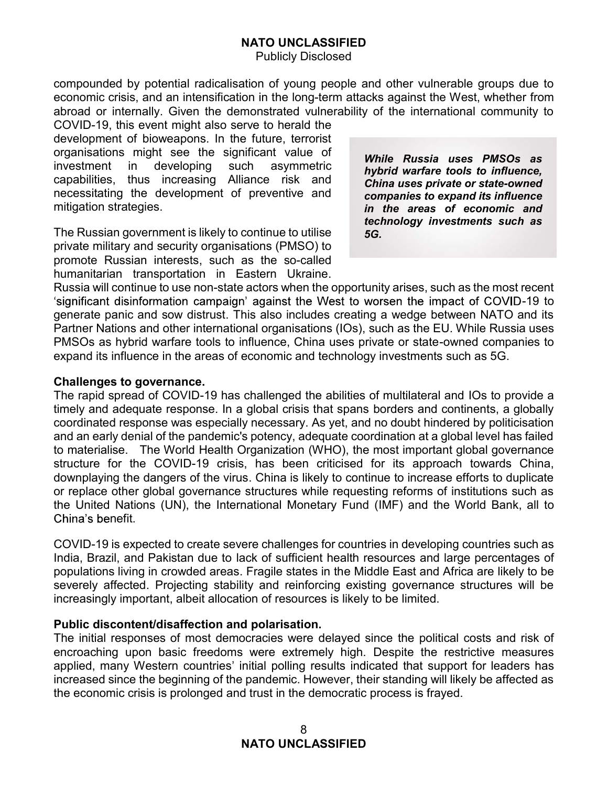Publicly Disclosed

compounded by potential radicalisation of young people and other vulnerable groups due to economic crisis, and an intensification in the long-term attacks against the West, whether from abroad or internally. Given the demonstrated vulnerability of the international community to

COVID-19, this event might also serve to herald the development of bioweapons. In the future, terrorist organisations might see the significant value of investment in developing such asymmetric capabilities, thus increasing Alliance risk and necessitating the development of preventive and mitigation strategies.

The Russian government is likely to continue to utilise private military and security organisations (PMSO) to promote Russian interests, such as the so-called humanitarian transportation in Eastern Ukraine. While Russia uses PMSOs as hybrid warfare tools to influence, China uses private or state-owned companies to expand its influence in the areas of economic and technology investments such as 5G.

Russia will continue to use non-state actors when the opportunity arises, such as the most recent 'significant disinformation campaign' against the West to worsen the impact of COVID-19 to generate panic and sow distrust. This also includes creating a wedge between NATO and its Partner Nations and other international organisations (IOs), such as the EU. While Russia uses PMSOs as hybrid warfare tools to influence, China uses private or state-owned companies to expand its influence in the areas of economic and technology investments such as 5G.

### Challenges to governance.

The rapid spread of COVID-19 has challenged the abilities of multilateral and IOs to provide a timely and adequate response. In a global crisis that spans borders and continents, a globally coordinated response was especially necessary. As yet, and no doubt hindered by politicisation and an early denial of the pandemic's potency, adequate coordination at a global level has failed to materialise. The World Health Organization (WHO), the most important global governance structure for the COVID-19 crisis, has been criticised for its approach towards China, downplaying the dangers of the virus. China is likely to continue to increase efforts to duplicate or replace other global governance structures while requesting reforms of institutions such as the United Nations (UN), the International Monetary Fund (IMF) and the World Bank, all to China's benefit.

COVID-19 is expected to create severe challenges for countries in developing countries such as India, Brazil, and Pakistan due to lack of sufficient health resources and large percentages of populations living in crowded areas. Fragile states in the Middle East and Africa are likely to be severely affected. Projecting stability and reinforcing existing governance structures will be increasingly important, albeit allocation of resources is likely to be limited.

### Public discontent/disaffection and polarisation.

The initial responses of most democracies were delayed since the political costs and risk of encroaching upon basic freedoms were extremely high. Despite the restrictive measures applied, many Western countries' initial polling results indicated that support for leaders has increased since the beginning of the pandemic. However, their standing will likely be affected as the economic crisis is prolonged and trust in the democratic process is frayed.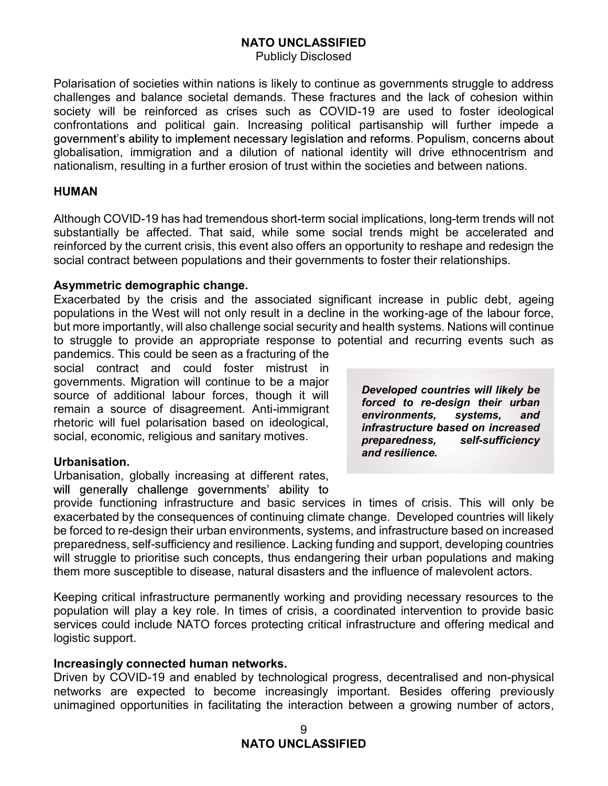Publicly Disclosed

**NATO UNCLASSIFIED**<br>Publicly Disclosed<br>Polarisation of societies within nations is likely to continue as governments struggle to address<br>challenges and balance societal demands. These fractures and the lack of cohesion wit challenges and balance societal demands. These fractures and the lack of cohesion within society will be reinforced as crises such as COVID-19 are used to foster ideological confrontations and political gain. Increasing political partisanship will further impede a globalisation, immigration and a dilution of national identity will drive ethnocentrism and nationalism, resulting in a further erosion of trust within the societies and between nations. **NATO UNCLASSIFIED**<br>
Publicly Disclosed<br>
Polarisation of societies within nations is likely to continue as governments struggle to address<br>
challenges and balance societal demands. These fractures and the lack of cohesion **NATO UNCLASSIFIED**<br>Polarisation of societies within rations is likely to continue as governments struggle to address<br>cohalismps can balance societal demands. These fractures and the lack of cohesion within<br>society will be **NATO UNCLASSIFIED**<br>Polarisation of societies within nations is likely to continue as governments struggle to address<br>colety will be reinforced as crises such as COVID-19 are used to foster ideological<br>confrontations and p **Exacer Scribts and DIVICLASSIFIED**<br> **Exact Converts and the lack of cohesion within**<br>
conditely bisclosed<br>
scolety will be reinforced as crisis sikely to continue as governments struggle to address<br>
scolety will be reinfo challenges and balance societal demands. These tractures and the lack of<br>society will be reinforced as crises such as COVID-19 are used to fo<br>confrontations and political gain. Increasing political partisanship will ful<br>go

### HUMAN

reinforced by the current crisis, this event also offers an opportunity to reshape and redesign the

### Asymmetric demographic change.

populations in the West will not only result in a decline in the working-age of the labour force, but more importantly, will also challenge social security and health systems. Nations will continue to struggle to provide an appropriate response to potential and recurring events such as governments ability to implement necessary legislation and reforms. Propulsm, concerns about globalisation, immigration and a dilution of national identity will drive ethnocentrism and nationalism, resulting in a further e

social contract and could foster mistrust in controntations and political gain. Increasing political partisanship will<br>globalisation, immigration and a dilution of national deforms. Populis<br>globalisation, immigration and a dilution of national identity will drive<br>rat remain a source of disagreement. Anti-immigrant rhetoric will fuel polarisation based on ideological, social, economic, religious and sanitary motives.

### Urbanisation.

Urbanisation, globally increasing at different rates,

Developed countries will likely be forced to re-design their urban environments, systems, and infrastructure based on increased preparedness, self-sufficiency and resilience.

reninored by the current crisis, this event also oriers an opportunity to restape and redesign the<br>social contract between populations and their governments to foster their relationships.<br>Exacerbated by the crisis and the exacerbated by the consequences of continuing climate change. Developed countries will likely **Asymmetric demographic change.**<br>
Exacerbated by the crissi and the associated significant increase in public debt, ageing<br>
Exportations in the West will not only result in a decline in the working-age of the labour force, preparedness, self-sufficiency and resilience. Lacking funding and support, developing countries Exadement of the concepts and the associated signing and the more than the struggle to provide an appropriate response to potential and recurring events will continue but more importantly, will also challenge social securi poluations in the wears will not ourly result in a decline in the working-age of the ialour force, thus the influence is panelemics. This could be seen as a fracturing of the social and recurring events such as panelemics. social contract and could toster mistrix in the mistrix in could to the memain a source of diditional labour forces, though it will **Developed countries will likely be**<br>source of diditional labour forces, though it will **f** 

Keeping critical infrastructure permanently working and providing necessary resources to the population will play a key role. In times of crisis, a coordinated intervention to provide basic logistic support.

### Increasingly connected human networks.

Driven by COVID-19 and enabled by technological progress, decentralised and non-physical networks are expected to become increasingly important. Besides offering previously unimagined opportunities in facilitating the interaction between a growing number of actors,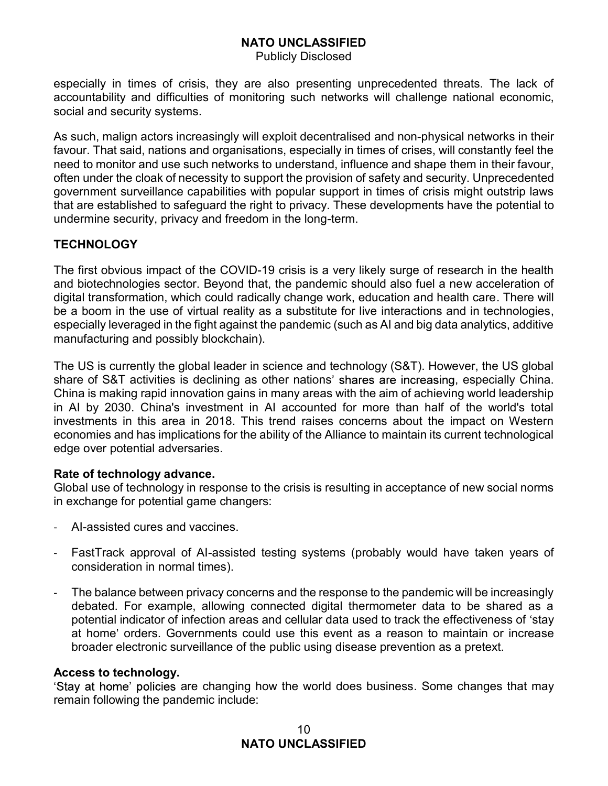Publicly Disclosed

especially in times of crisis, they are also presenting unprecedented threats. The lack of accountability and difficulties of monitoring such networks will challenge national economic, social and security systems.

As such, malign actors increasingly will exploit decentralised and non-physical networks in their favour. That said, nations and organisations, especially in times of crises, will constantly feel the need to monitor and use such networks to understand, influence and shape them in their favour, often under the cloak of necessity to support the provision of safety and security. Unprecedented government surveillance capabilities with popular support in times of crisis might outstrip laws that are established to safeguard the right to privacy. These developments have the potential to undermine security, privacy and freedom in the long-term. Publicly Disclosed<br>
respecially in times of crisis, they are also presenting unprecedented threats. The lack of<br>
accountability and difficulties of monitoring such networks will challenge national economic,<br>
social and sec

### **TECHNOLOGY**

The first obvious impact of the COVID-19 crisis is a very likely surge of research in the health and biotechnologies sector. Beyond that, the pandemic should also fuel a new acceleration of digital transformation, which could radically change work, education and health care. There will especially leveraged in the fight against the pandemic (such as AI and big data analytics, additive manufacturing and possibly blockchain).

The US is currently the global leader in science and technology (S&T). However, the US global share of S&T activities is declining as other nations' shares are increasing, especially China. China is making rapid innovation gains in many areas with the aim of achieving world leadership in AI by 2030. China's investment in AI accounted for more than half of the world's total investments in this area in 2018. This trend raises concerns about the impact on Western economies and has implications for the ability of the Alliance to maintain its current technological edge over potential adversaries.

### Rate of technology advance.

Global use of technology in response to the crisis is resulting in acceptance of new social norms in exchange for potential game changers:

- AI-assisted cures and vaccines.
- FastTrack approval of AI-assisted testing systems (probably would have taken years of consideration in normal times).
- The balance between privacy concerns and the response to the pandemic will be increasingly debated. For example, allowing connected digital thermometer data to be shared as a potential indicator of infection areas and cellular data used to track the effectiveness of 'stav at home' orders. Governments could use this event as a reason to maintain or increase broader electronic surveillance of the public using disease prevention as a pretext.

### Access to technology.

'Stay at home' policies are changing how the world does business. Some changes that may remain following the pandemic include: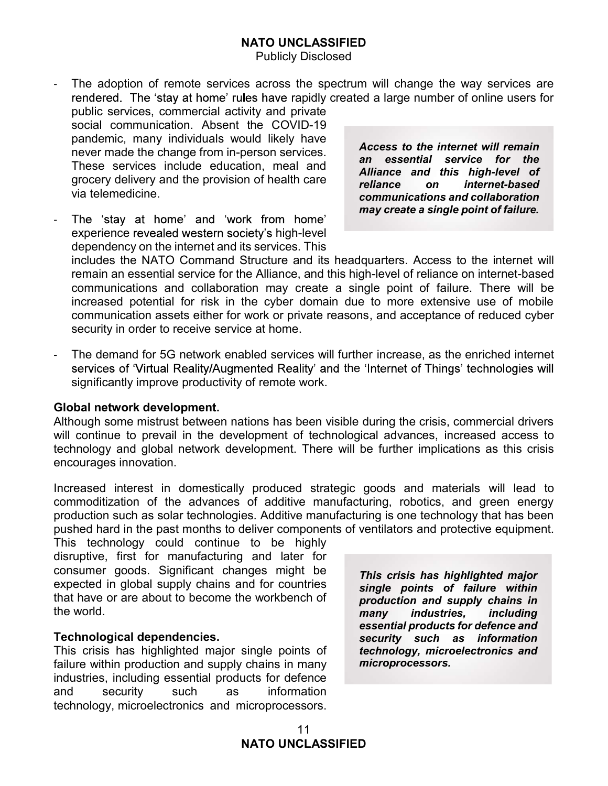- The adoption of remote services across the spectrum will change the way services are rendered. The 'stay at home' rules have rapidly created a large number of online users for
- public services, commercial activity and private social communication. Absent the COVID-19 pandemic, many individuals would likely have never made the change from in-person services. These services include education, meal and grocery delivery and the provision of health care **Figure** via telemedicine.
- The 'stay at home' and 'work from home' experience revealed western society's high-level dependency on the internet and its services. This

Access to the internet will remain an essential service for the Alliance and this high-level of on *internet-based* communications and collaboration may create a single point of failure.

includes the NATO Command Structure and its headquarters. Access to the internet will remain an essential service for the Alliance, and this high-level of reliance on internet-based communications and collaboration may create a single point of failure. There will be increased potential for risk in the cyber domain due to more extensive use of mobile communication assets either for work or private reasons, and acceptance of reduced cyber security in order to receive service at home.

The demand for 5G network enabled services will further increase, as the enriched internet services of 'Virtual Reality/Augmented Reality' and the 'Internet of Things' technologies will significantly improve productivity of remote work.

Global network development.<br>Although some mistrust between nations has been visible during the crisis, commercial drivers will continue to prevail in the development of technological advances, increased access to technology and global network development. There will be further implications as this crisis encourages innovation.

Increased interest in domestically produced strategic goods and materials will lead to commoditization of the advances of additive manufacturing, robotics, and green energy production such as solar technologies. Additive manufacturing is one technology that has been pushed hard in the past months to deliver components of ventilators and protective equipment.

This technology could continue to be highly disruptive, first for manufacturing and later for consumer goods. Significant changes might be expected in global supply chains and for countries that have or are about to become the workbench of the world.

### Technological dependencies.

This crisis has highlighted major single points of failure within production and supply chains in many industries, including essential products for defence and security such as information technology, microelectronics and microprocessors.

This crisis has highlighted major single points of failure within production and supply chains in many industries, including essential products for defence and security such as information technology, microelectronics and microprocessors.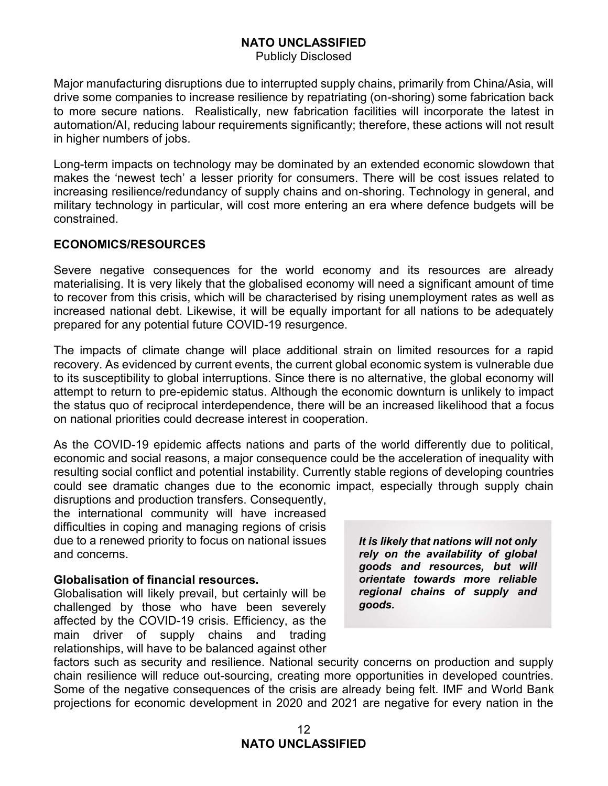Publicly Disclosed

Major manufacturing disruptions due to interrupted supply chains, primarily from China/Asia, will drive some companies to increase resilience by repatriating (on-shoring) some fabrication back to more secure nations. Realistically, new fabrication facilities will incorporate the latest in **MATO UNCLASSIFIED**<br>
Publicly Disclosed<br>
Major manufacturing disruptions due to interrupted supply chains, primarily from China/Asia, will<br>
drive some companies to increase resilience by repatriating (on-shoring) some fabr in higher numbers of jobs.

Major manufacturing disruptions due to interrupted supply chains, primarily from China/Asia, will<br>drive some companies to increase resilience by repatirating (on-shoring) some fabrication back<br>to more secure nations. Reali **MATO UNCLASSIFIED**<br> **Example 19.1** Publicly Disclosed<br>
Major manufacturing disruptions due to interrupted supply chains, primarily from China/Asia, will<br>
drive some companies to increase resilience by repatriating (on-sho **IMATO UNCLASSIFIED**<br> **IMATO UNCLASSIFIED**<br> **IMATO UNCLASSIFIED**<br> **IMATO UNCLASSIFIED**<br> **IMATO UNCLASSIFIED**<br> **IMATO UNCLASSIFIED**<br> **IMATO UNCLASSIFIED**<br> **IMATO UNCLASSIFIED**<br> **IMATO UNCLASSIFIED**<br> **IMATO UNCLASSIFIED**<br> **I MATO UNCLASSIFIED**<br>
Publicly Disclosed<br>
Major manufacturing disruptions due to interrupted supply chains, primarily from China/Asia, will<br>
drive some companies to increase resilience by repatirating (on-shoring) some fabr constrained. **NATO UNCLASSIFIED**<br>
Publicly Disclosed<br>
Publicly Disclosed<br>
drive some companies to increase resilience by repatriating (on-shoring) some fabincation, Ast<br>
to more secure nations. Realistically, new fabrication facilities **NATO LIVIGLASSIFIED**<br>
Major manufacturing disruptions due to interrupted supply chains, primarily from China/Asia, will<br>
drive some companies to increase resilience by repatriating (on-shoring) some fabrication back<br>
to m Publicly Disclosed<br>
Major manufacturing disruptions due to interrupted supply chains, primarily from China/Asia, will<br>
drive some companies to increase resilience by repatriating (on-shoring) some fabrication back<br>
to more

### ECONOMICS/RESOURCES

Severe negative consequences for the world economy and its resources are already prepared for any potential future COVID-19 resurgence.

The impacts of climate change will place additional strain on limited resources for a rapid recovery. As evidenced by current events, the current global economic system is vulnerable due to its susceptibility to global interruptions. Since there is no alternative, the global economy will in higher numbers of jobs.<br>
Long-term impacts on technology may be dominated by an extended economic slowdown that<br>
makes the 'newest tech' a lesser priority for consumers. There will be cost issues related to<br>
increasing Long-term impacts on technology may be dominated by an extended economic slowdown that<br>makes the 'newest tech' a lesser priority for consumers. There will be cost issues related to<br>increasing resilience/redundancy of suppl on national priorities could decrease interest in cooperation. constrained.<br> **ECONOMICS/RESOURCES**<br>
Severe negative consequences for the world economy and its resources are already<br>
materialising, it is very likely that the globalised economy will need a significant amount of time<br>
to Severe negative consequences for the world economy and its resources are already<br>materialising. It is very likely that the globalised economy will need a significant amount of time<br>to recover from this crisis, which will b materialismg. It is very likely that the globalised economy will need a store from this crisis, which will be characterised by insing unemprepared for any potential future COVID-19 resurgence.<br>The impacts of climate change

As the COVID-19 epidemic affects nations and parts of the world differently due to political, economic and social reasons, a major consequence could be the acceleration of inequality with could see dramatic changes due to the economic impact, especially through supply chain

disruptions and production transfers. Consequently, the international community will have increased and concerns.

### Globalisation of financial resources.

Globalisation will likely prevail, but certainly will be challenged by those who have been severely affected by the COVID-19 crisis. Efficiency, as the main driver of supply chains and trading relationships, will have to be balanced against other It is likely that nations will not only rely on the availability of global goods and resources, but will orientate towards more reliable regional chains of supply and goods.

factors such as security and resilience. National security concerns on production and supply chain resilience will reduce out-sourcing, creating more opportunities in developed countries. Some of the negative consequences of the crisis are already being felt. IMF and World Bank projections for economic development in 2020 and 2021 are negative for every nation in the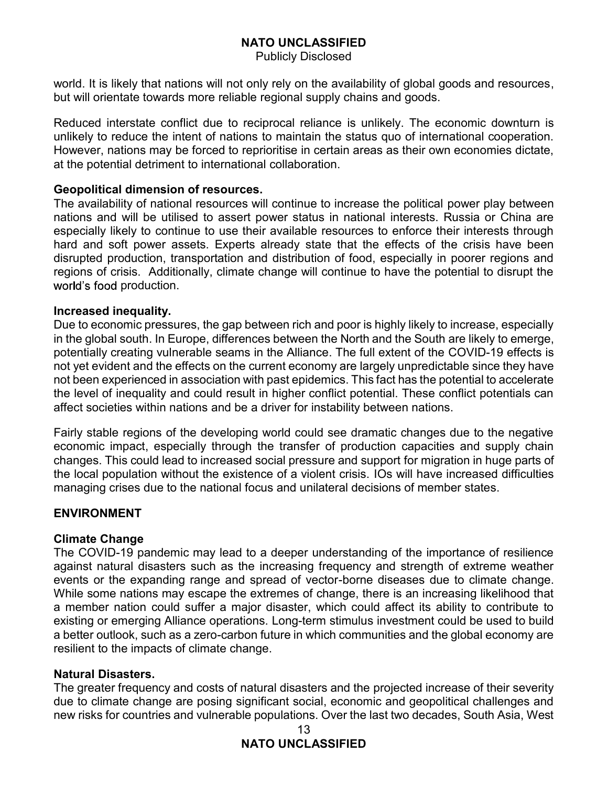Publicly Disclosed

but will orientate towards more reliable regional supply chains and goods.

**NATO UNCLASSIFIED**<br>
Publicly Disclosed<br>
world. It is likely that nations will not only rely on the availability of global goods and resources,<br>
but will orientate towards more reliable regional supply chains and goods.<br>
R **NATO UNCLASSIFIED**<br>
Publicly Disclosed<br>
World. It is likely that nations will not only rely on the availability of global goods and resources,<br>
but will orientate towards more reliable regional supply chains and goods.<br>
R unlikely to reduce the intent of nations to maintain the status quo of international cooperation. MATO UNCLASSIFIED<br>
Publicly Disclosed<br>
World. It is likely that nations will not only rely on the availability of global goods and resources,<br>
but will orientate towards more reliable regional supply chains and goods.<br>
Red at the potential detriment to international collaboration.

### Geopolitical dimension of resources.

The availability of national resources will continue to increase the political power play between **NATO UNCLASSIFIED**<br>
Publicly Disclosed<br>
World. It is likely that nations will not only rely on the availability of global goods and resources,<br>
but will orientate towards more reliable regional supply chains and goods.<br>
R especially likely to continue to use their available resources to enforce their interests through hard and soft power assets. Experts already state that the effects of the crisis have been disrupted production, transportation and distribution of food, especially in poorer regions and regions of crisis. Additionally, climate change will continue to have the potential to disrupt the world's food production. word. It is likely that nations will not only rely on the availability of global goods and resources,<br>but will orientate towards more reliable regional supply chains and goods.<br>Reduced interstate conflict due to reciprocal but will orientate towards more reliable regional supply chains and goods.<br>
Reduced interstate conflict due to reciprocol reliance is unlikely. The economic downtum is<br>
eunlikely to reduce the intent of nations to maintain Reduced interstate conflict due to reciprocal reliance is unlikely. The economic downtum is unlikely to reduce the intent of nations to maintain the status quo of international cooperation.<br>However, nations may be forced t Reduced Interstate contrict due to recoprocal relations e sunlikely to reconomic downtum is<br>thoukley to reduce the intent of nations to maintain the status quo of international cooperation.<br>However, nations may be forced t However, nations may be forced to reprorintse in certain areas as their own economies dictate,<br>at the potential defirment to international collaboration.<br>The availability of national resources will continue to increase the Geopolitical dimension of resources.<br>The availability of national resources will continue to increase the political power play between nations and will be utilised to assert power status in national interests. Russia or Ch

### Increased inequality.

Due to economic pressures, the gap between rich and poor is highly likely to increase, especially the level of inequality and could result in higher conflict potential. These conflict potentials can The availabing of national resources will controls to increase the political power play between the parts of the parts of the parts of the parts and this change encluding likiely to contrinue to use their available resourc nations and will be utilised to assert power statis. In rational interests. Kussia or China are considerated production, transportation and soft power assets. Experts already state that the effects of the crisis have been especially likely to continue to use their available resources to enforce their interests through<br>thard and soft power assets. Experts already state that the effects of the crisis have been<br>disrupted production, transporta

Fairly stable regions of the developing world could see dramatic changes due to the negative

### ENVIRONMENT

### **Climate Change**

The COVID-19 pandemic may lead to a deeper understanding of the importance of resilience against natural disasters such as the increasing frequency and strength of extreme weather Due to economic pressures, the gap between rich and poor is highly likely to increase, especially<br>on the global south. In Europe, differences between the North and the South are likely to emerge,<br>potentially creating vulne While some nations may escape the extremes of change, there is an increasing likelihood that potentially creating wullenable seams in the Alliance. The full extent of the COVID-19 effects is ability creating throughtly unpredictable since they have not been experienced in association with past epidemics. This fact not yet evident and the effects on the current economy are largely unpredictable since they have<br>not been experienced in association with past epidemics. This fact has the potential to accelerate<br>the level of inequality an a better outlook, such as a zero-carbon future in which communities and the global economy are resilient to the impacts of climate change. Fairly stable regions of the developing world could see dramatic changes due to the negative<br>economic impact, especially through the transfer of production capacities and supply chain<br>changes. This could lead to increased

### Natural Disasters.

due to climate change are posing significant social, economic and geopolitical challenges and new risks for countries and vulnerable populations. Over the last two decades, South Asia, West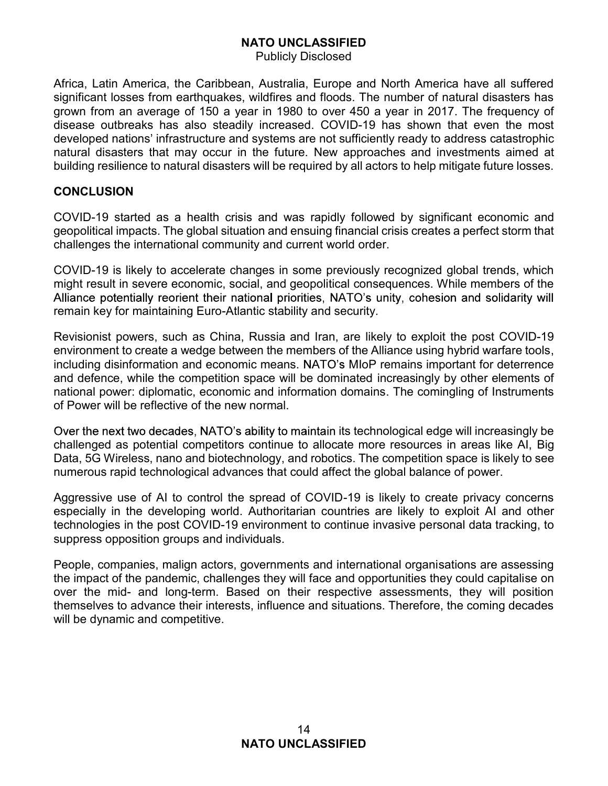Publicly Disclosed

Africa, Latin America, the Caribbean, Australia, Europe and North America have all suffered significant losses from earthquakes, wildfires and floods. The number of natural disasters has grown from an average of 150 a year in 1980 to over 450 a year in 2017. The frequency of disease outbreaks has also steadily increased. COVID-19 has shown that even the most developed nations' infrastructure and systems are not sufficiently ready to address catastrophic natural disasters that may occur in the future. New approaches and investments aimed at building resilience to natural disasters will be required by all actors to help mitigate future losses.

### **CONCLUSION**

COVID-19 started as a health crisis and was rapidly followed by significant economic and geopolitical impacts. The global situation and ensuing financial crisis creates a perfect storm that challenges the international community and current world order.

COVID-19 is likely to accelerate changes in some previously recognized global trends, which might result in severe economic, social, and geopolitical consequences. While members of the Alliance potentially reorient their national priorities, NATO's unity, cohesion and solidarity will remain key for maintaining Euro-Atlantic stability and security.

Revisionist powers, such as China, Russia and Iran, are likely to exploit the post COVID-19 environment to create a wedge between the members of the Alliance using hybrid warfare tools, including disinformation and economic means. NATO's MIoP remains important for deterrence and defence, while the competition space will be dominated increasingly by other elements of national power: diplomatic, economic and information domains. The comingling of Instruments of Power will be reflective of the new normal.

Over the next two decades, NATO's ability to maintain its technological edge will increasingly be challenged as potential competitors continue to allocate more resources in areas like AI, Big Data, 5G Wireless, nano and biotechnology, and robotics. The competition space is likely to see numerous rapid technological advances that could affect the global balance of power.

Aggressive use of AI to control the spread of COVID-19 is likely to create privacy concerns especially in the developing world. Authoritarian countries are likely to exploit AI and other technologies in the post COVID-19 environment to continue invasive personal data tracking, to suppress opposition groups and individuals.

People, companies, malign actors, governments and international organisations are assessing the impact of the pandemic, challenges they will face and opportunities they could capitalise on over the mid- and long-term. Based on their respective assessments, they will position themselves to advance their interests, influence and situations. Therefore, the coming decades will be dynamic and competitive.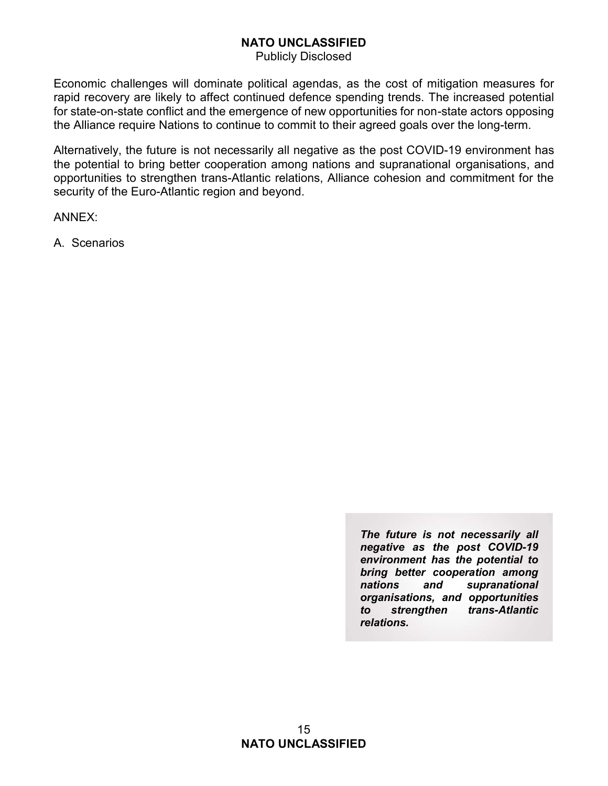Publicly Disclosed

**NATO UNCLASSIFIED**<br>
Publicly Disclosed<br>
Economic challenges will dominate political agendas, as the cost of mitigation measures for<br>
rapid recovery are likely to affect continued defence spending trends. The increased pot **Example 19 Example 19 Example 19 Example 19 Example 19 Example 19 Example 19 Example 19 Example 19 Example 19 Example 19 Example 19 Example 19 Example 19 Example 19 Example 19 Example 19 Example 19 Example 19 Example 19 E** for state-on-state conflict and the emergence of new opportunities for non-state actors opposing **NATO UNCLASSIFIED**<br>
Publicly Disclosed<br>
Economic challenges will dominate political agendas, as the cost of mitigation measures for<br>
rapid recovery are likely to affect continued defence spending trends. The increased pot **NATO UNCLASSIFIED**<br>
Publicly Disclosed<br>
Economic challenges will dominate political agendas, as the corapid recovery are likely to affect continued defence spending tr<br>
for state-on-state conflict and the emergence of new

**NATO UNCLASSIFIED**<br>
Publicly Disclosed<br>
Economic challenges will dominate political agendas, as the cost of mitigation measures for<br>
rapid recovery are likely to affect continued defence spending trends. The increased pot **Example 12 Example 12 Example 12 Example 12 Example 12 Example 12 Example 12 Example 12 Example 12 Example 12 Example 12 Example 12 Example 12 Example 12 Example 12 Example 12 Example 12** opportunities to strengthen trans-Atlantic relations, Alliance cohesion and commitment for the security of the Euro-Atlantic region and beyond.

ANNEX:

The future is not necessarily all negative as the post COVID-19 environment has the potential to bring better cooperation among nations and supranational organisations, and opportunities to strengthen trans-Atlantic relations.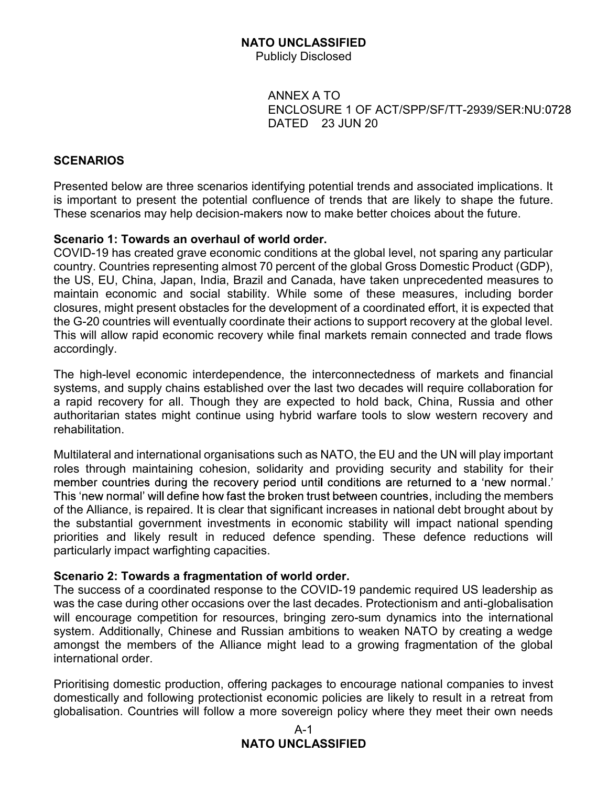Publicly Disclosed

**D UNCLASSIFIED<br>iblicly Disclosed<br>ANNEX A TO<br>ENCLOSURE 1 OF ACT/SPP/SF/TT-2939/SER:NU:0728<br>DATED 23 JUN 20 D UNCLASSIFIED<br>iblicly Disclosed<br>ANNEX A TO<br>ENCLOSURE 1 OF ACT/SPP/SF/TT-2939/SER:NU:0728<br>DATED 23 JUN 20** DATED 23 JUN 20

### **SCENARIOS**

Presented below are three scenarios identifying potential trends and associated implications. It **is important to presented below are three scenarios identifying potential trends and associated implications. It<br>is important to present the potential confluence of trends that are likely to shape the future.<br>These scenar** These scenarios may help decision-makers now to make better choices about the future.

### Scenario 1: Towards an overhaul of world order.

COVID-19 has created grave economic conditions at the global level, not sparing any particular country. Countries representing almost 70 percent of the global Gross Domestic Product (GDP), the US, EU, China, Japan, India, Brazil and Canada, have taken unprecedented measures to maintain economic and social stability. While some of these measures, including border Publicly Disclosed<br>
ENCLOSURE 1 OF ACT/SPP/SF/TT-2939/SER:NU:0728<br>
DATED 23 JUN 20<br>
SCENARIOS<br>
Presented below are three scenarios identifying potential trends and associated implications. It<br>
is important to present the p ANNEX A TO<br>
ENCLOSURE 1 OF ACT/SPP/SF/TT-2939/SER:NU:0728<br>
DATED 23 JUN 20<br>
Presented below are three scenarios identifying potential trends and associated implications. It<br>
is important to present the potential confluence This will allow rapid economic recovery while final markets remain connected and trade flows accordingly. **SCENARIOS**<br>
Presented below are three scenarios identifying potential trends and associated implications. It<br>
is important to present the potential confluence of trends that are likely to shape the future.<br>
These scenario **BCENARIOS**<br>
Bressented below are three scenarios identifying potential trends and associated implications. It<br>
Its important to present the potential confluence of trends that are likely to shape the future.<br>
These scenar is important to present the potential confluence of trends that are likely to shape the future.<br>These scenarios may help decision-makers now to make better choices about the future.<br>COVID-19 has created grave economic cond omestic Product (GDP),<br>
ecedented measures to<br>
sures, including border<br>
effort, it is expected that<br>
overy at the global level.<br>
Innected and trade flows<br>
f markets and financial<br>
require collaboration for<br>
nina, Russia an

The high-level economic interdependence, the interconnectedness of markets and financial systems, and supply chains established over the last two decades will require collaboration for rehabilitation.

roles through maintaining cohesion, solidarity and providing security and stability for their  $\cdot$ COVID-19 has created graw economic conditions at the global level, not sparning any particular<br>country. Countries representing almost 70 percent of the global Gross Domestic Product (GDP),<br>the US, EU, China, Japan, India, the substantial government investments in economic stability will impact national spending priorities and likely result in reduced defence spending. These defence reductions will particularly impact warfighting capacities. The high-level economic interdependence, the interconnectedness of markets and financial<br>ay raying, and supply chains established over the last two decades will require collaboration for<br>a rapid recovery for all. Though th rehabilitation.<br>
Multilateral and international organisations such as NATO, the EU and the UN will play important<br>
Multilateral and international organisations such as NATO, the EU and the UN will play important<br>
roles thr Multilateral and international organisations such as NATO, the EU and the UN will play important<br>roles through maintaining cohesion, solidarity and providing security and stability for their<br>member countries during the rec Multilateral and metrimational organisations such as NATO, the EU and the UN will piay important<br>The Strough maintaining cohesion, solidarity and providing security and stability for their<br>This 'new normal' will define how

### Scenario 2: Towards a fragmentation of world order.

The success of a coordinated response to the COVID-19 pandemic required US leadership as was the case during other occasions over the last decades. Protectionism and anti-globalisation system. Additionally, Chinese and Russian ambitions to weaken NATO by creating a wedge amongst the members of the Alliance might lead to a growing fragmentation of the global international order.

### A-1 NATO UNCLASSIFIED